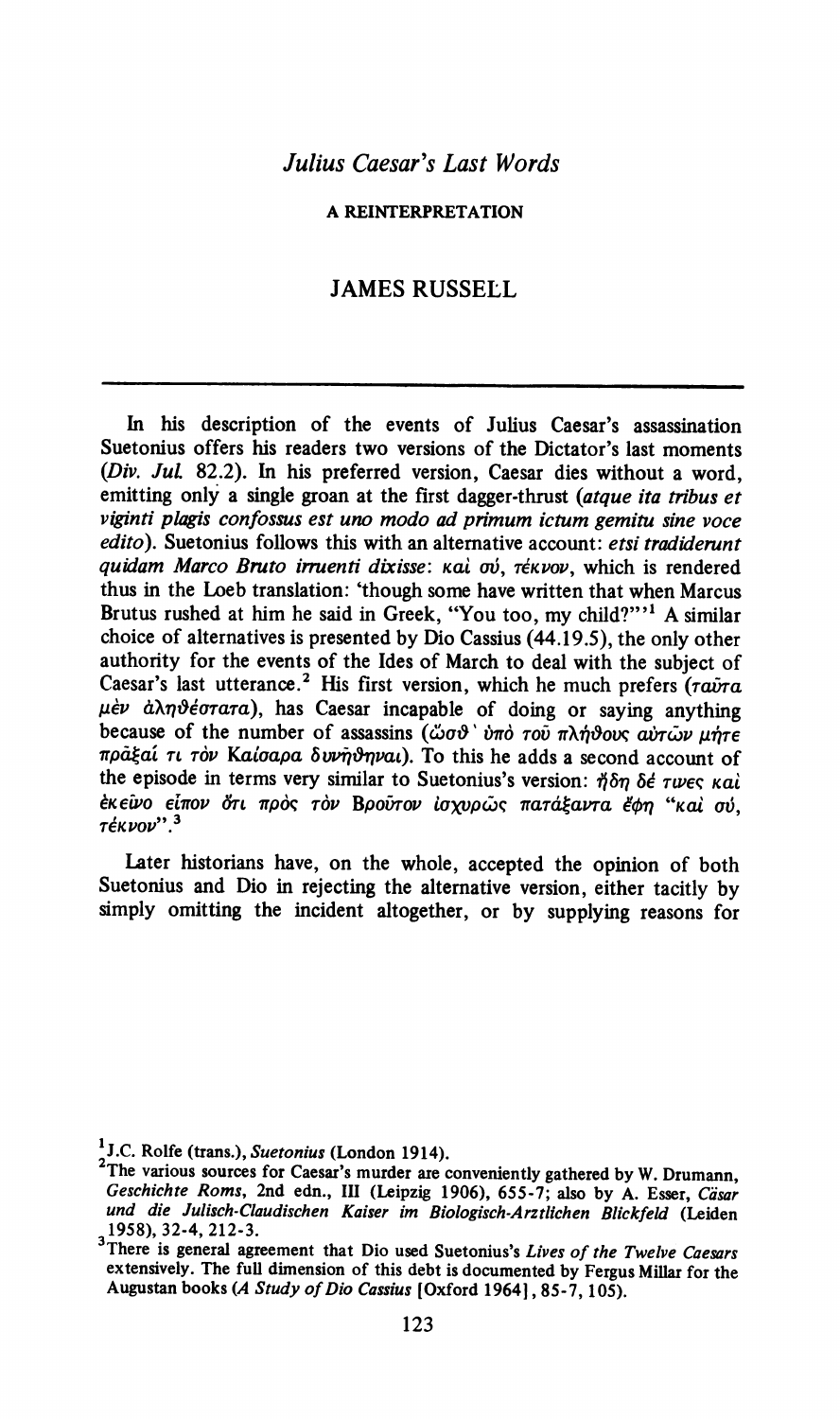A REINTERPRETATION

## JAMES RUSSELL

In his description of the events of Julius Caesar's assassination Suetonius offers his readers two versions of the Dictator's last moments (Div. Jul. 82.2). In his preferred version, Caesar dies without a word, emitting only a single groan at the first dagger-thrust (atque ita tribus et viginti plagis confossus est uno modo ad primum ictum gemitu sine voce edito). Suetonius follows this with an alternative account: etsi tradiderunt quidam Marco Bruto irruenti dixisse: και σύ, τέκνον, which is rendered thus in the Loeb translation: 'though some have written that when Marcus Brutus rushed at him he said in Greek, "You too, my child?""! A similar choice of alternatives is presented by Dio Cassius (44.19.5), the only other authority for the events of the Ides of March to deal with the subject of Caesar's last utterance.<sup>2</sup> His first version, which he much prefers  $(\tau \vec{a} \nu \tau \vec{a})$  $\mu$ èv à $\lambda \eta \vartheta$ éorara), has Caesar incapable of doing or saying anything because of the number of assassins ( $\ddot{\omega}\sigma\vartheta$   $\ddot{\sigma}\sigma\sigma\vec{v}$   $\pi\lambda\dot{\eta}\vartheta$ ove  $\ddot{\omega}\nu\ddot{\omega}\nu\ddot{\eta}\tau\dot{\epsilon}$ mpagéat Te TOV Katoapa d5uvndnvar). To this he adds a second account of the episode in terms very similar to Suetonius's version: 5n 5€ rwec Kai έκεῦνο είπον ὅτι πρός τὸν Βροῦτον ἰσχυρῶς πατάξαντα ἔφη "καὶ σύ, Τέκνον''.<sup>3</sup>

Later historians have, on the whole, accepted the opinion of both Suetonius and Dio in rejecting the alternative version, either tacitly by simply omitting the incident altogether, or by supplying reasons for

<sup>&</sup>lt;sup>1</sup>J.C. Rolfe (trans.), Suetonius (London 1914).

The various sources for Caesar's murder are conveniently gathered by W. Drumann, Geschichte Roms, 2nd edn., III (Leipzig 1906), 655-7; also by A. Esser, Cäsar<br>und die Julisch-Claudischen Kaiser im Biologisch-Arztlichen Blickfeld (Leiden und die Julisch-Claudischen Kaiser im Biologisch-Arztlichen Blickfeld (Leiden<br>1958), 32-4, 212-3.

There is general agreement that Dio used Suetonius's Lives of the Twelve Caesars extensively. The full dimension of this debt is documented by Fergus Millar for the Augustan books (A Study of Dio Cassius [Oxford 1964], 85-7, 105).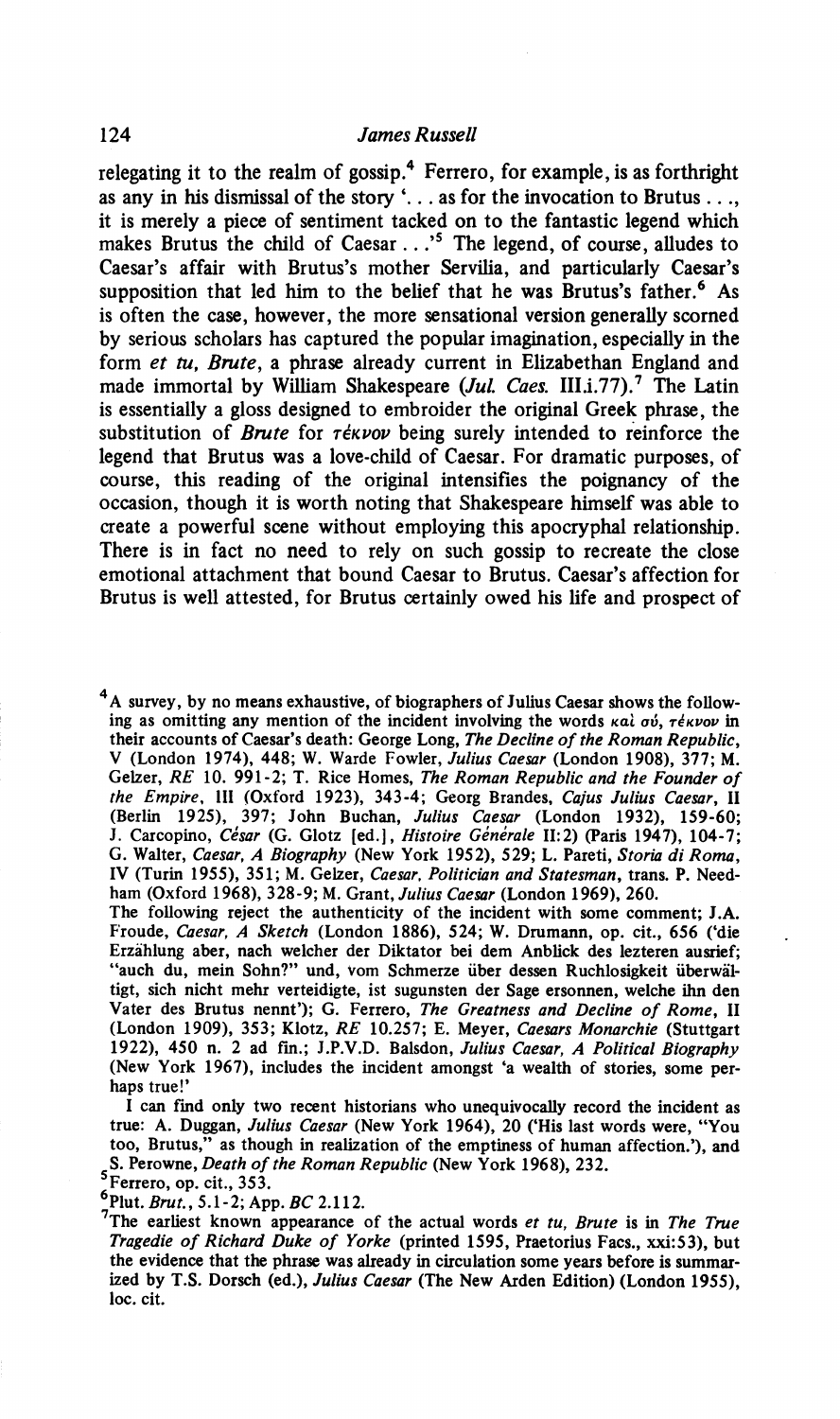relegating it to the realm of gossip.<sup>4</sup> Ferrero, for example, is as forthright as any in his dismissal of the story '.. . as for the invocation to Brutus. . ., it is merely a piece of sentiment tacked on to the fantastic legend which makes Brutus the child of Caesar...'<sup>5</sup> The legend, of course, alludes to Caesar's affair with Brutus's mother Servilia, and particularly Caesar's supposition that led him to the belief that he was Brutus's father.<sup>6</sup> As is often the case, however, the more sensational version generally scorned by serious scholars has captured the popular imagination, especially in the form et tu, Brute, a phrase already current in Elizabethan England and made immortal by William Shakespeare  $(Jul. Caes. III.i.77).$ <sup>7</sup> The Latin is essentially a gloss designed to embroider the original Greek phrase, the substitution of Brute for réxvov being surely intended to reinforce the legend that Brutus was a love-child of Caesar. For dramatic purposes, of course, this reading of the original intensifies the poignancy of the occasion, though it is worth noting that Shakespeare himself was able to create a powerful scene without employing this apocryphal relationship. There is in fact no need to rely on such gossip to recreate the close emotional attachment that bound Caesar to Brutus. Caesar's affection for Brutus is well attested, for Brutus certainly owed his life and prospect of

<sup>4</sup>A survey, by no means exhaustive, of biographers of Julius Caesar shows the following as omitting any mention of the incident involving the words  $\kappa a$  ov,  $\tau \epsilon \kappa \nu o\nu$  in their accounts of Caesar's death: George Long, The Decline of the Roman Republic, V (London 1974), 448; W. Warde Fowler, Julius Caesar (London 1908), 377; M. Gelzer, RE 10. 991-2; T. Rice Homes, The Roman Republic and the Founder of the Empire, III (Oxford 1923), 343-4; Georg Brandes, Cajus Julius Caesar, II (Berlin 1925), 397; John Buchan, Julius Caesar (London 1932), 159-60; J. Carcopino, César (G. Glotz [ed.], Histoire Générale II:2) (Paris 1947), 104-7; G. Walter, Caesar, A Biography (New York 1952), 529; L. Pareti, Storia di Roma, IV (Turin 1955), 351; M. Gelzer, Caesar, Politician and Statesman, trans. P. Needham (Oxford 1968), 328-9; M. Grant, Julius Caesar (London 1969), 260.

The following reject the authenticity of the incident with some comment; J.A. Froude, Caesar, A Sketch (London 1886), 524; W. Drumann, op. cit., 656 ('die Erzahlung aber, nach welcher der Diktator bei dem Anblick des lezteren ausrief; "auch du, mein Sohn?" und, vom Schmerze über dessen Ruchlosigkeit überwältigt, sich nicht mehr verteidigte, ist sugunsten der Sage ersonnen, welche ihn den Vater des Brutus nennt'); G. Ferrero, The Greatness and Decline of Rome, II (London 1909), 353; Klotz, RE 10.257; E. Meyer, Caesars Monarchie (Stuttgart 1922), 450 n. 2 ad fin.; J.P.V.D. Balsdon, Julius Caesar, A Political Biography (New York 1967), includes the incident amongst 'a wealth of stories, some perhaps true!'

I can find only two recent historians who unequivocally record the incident as true: A. Duggan, Julius Caesar (New York 1964), 20 ('His last words were, 'You too, Brutus," as though in realization of the emptiness of human affection.'), and S. Perowne, Death of the Roman Republic (New York 1968), 232.

Ferrero, op. cit., 353.

©Plut. Brut., 5.1-2; App. BC 2.112.

The earliest known appearance of the actual words et tu, Brute is in The True Tragedie of Richard Duke of Yorke (printed 1595, Praetorius Facs., xxi:53), but the evidence that the phrase was already in circulation some years before is summarized by T.S. Dorsch (ed.), Julius Caesar (The New Arden Edition) (London 1955), loc. cit.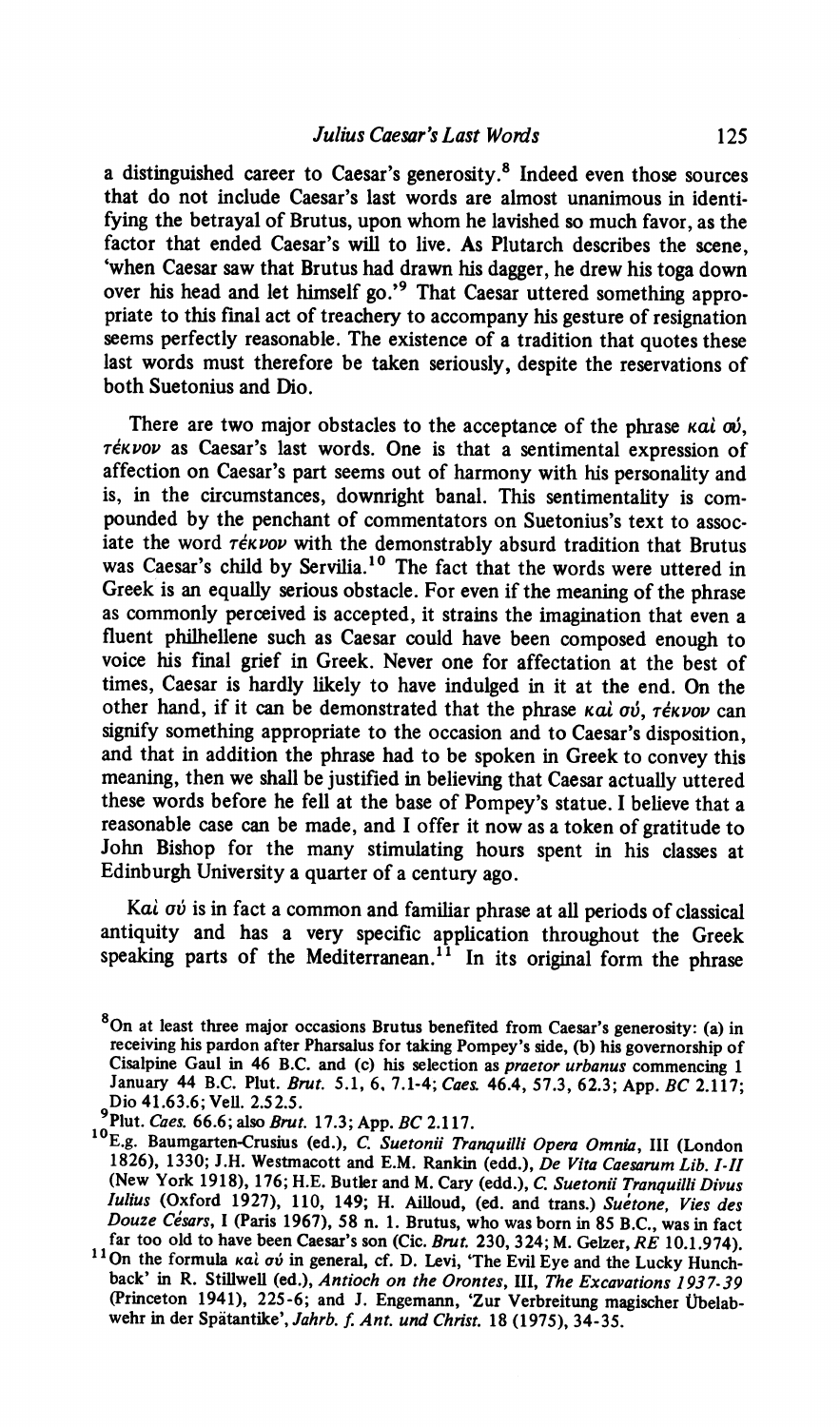a distinguished career to Caesar's generosity.® Indeed even those sources that do not include Caesar's last words are almost unanimous in identifying the betrayal of Brutus, upon whom he lavished so much favor, as the factor that ended Caesar's will to live. As Plutarch describes the scene, 'when Caesar saw that Brutus had drawn his dagger, he drew his toga down over his head and let himself go.'<sup>9</sup> That Caesar uttered something appropriate to this final act of treachery to accompany his gesture of resignation seems perfectly reasonable. The existence of a tradition that quotes these last words must therefore be taken seriously, despite the reservations of both Suetonius and Dio.

There are two major obstacles to the acceptance of the phrase  $\kappa a i \omega j$ ,  $\tau$ ékvov as Caesar's last words. One is that a sentimental expression of affection on Caesar's part seems out of harmony with his personality and is, in the circumstances, downright banal. This sentimentality is compounded by the penchant of commentators on Suetonius's text to associate the word réxvov with the demonstrably absurd tradition that Brutus was Caesar's child by Servilia.<sup>10</sup> The fact that the words were uttered in Greek is an equally serious obstacle. For even if the meaning of the phrase as commonly perceived is accepted, it strains the imagination that even a fluent philhellene such as Caesar could have been composed enough to voice his final grief in Greek. Never one for affectation at the best of times, Caesar is hardly likely to have indulged in it at the end. On the other hand, if it can be demonstrated that the phrase  $k$ ai  $\sigma\dot{v}$ ,  $\tau \dot{\epsilon} \kappa \nu \omega \nu$  can signify something appropriate to the occasion and to Caesar's disposition, and that in addition the phrase had to be spoken in Greek to convey this meaning, then we shall be justified in believing that Caesar actually uttered these words before he fell at the base of Pompey's statue. I believe that a reasonable case can be made, and I offer it now as a token of gratitude to John Bishop for the many stimulating hours spent in his classes at Edinburgh University a quarter of a century ago.

Ka $\lambda$   $\sigma\dot{\nu}$  is in fact a common and familiar phrase at all periods of classical antiquity and has a very specific application throughout the Greek speaking parts of the Mediterranean.<sup>11</sup> In its original form the phrase

<sup>8</sup>On at least three major occasions Brutus benefited from Caesar's generosity: (a) in receiving his pardon after Pharsalus for taking Pompey's side, (b) his governorship of Cisalpine Gaul in 46 B.C. and (c) his selection as praetor urbanus commencing 1 January 44 B.C. Plut. Brut. 5.1, 6, 7.1-4; Caes. 46.4, 57.3, 62.3; App. BC 2.117; Dio 41.63.6; Vell. 2.52.5.<br>Plut. Caes. 66.6; also Brut. 17.3; App. BC 2.117.<br><sup>10</sup>E.g. Baumgarten-Crusius (ed.), *C. Suetonii Tranquilli Opera Omnia*, III (London

<sup>1826), 1330;</sup> J.H. Westmacott and E.M. Rankin (edd.), *De Vita Caesarum Lib. I-II* (New York 1918), 176; H.E. Butler and M. Cary (edd.), *C. Suetonii Tranquilli Divus Iulius* (Oxford 1927), 110, 149; H. Ailloud, (ed. and t

back' in R. Stillwell (ed.), Antioch on the Orontes, Ill, The Excavations 1937-39 (Princeton 1941), 225-6; and J. Engemann, 'Zur Verbreitung magischer Ubelabwehr in der Spatantike', Jahrb. f. Ant. und Christ. 18 (1975), 34-35.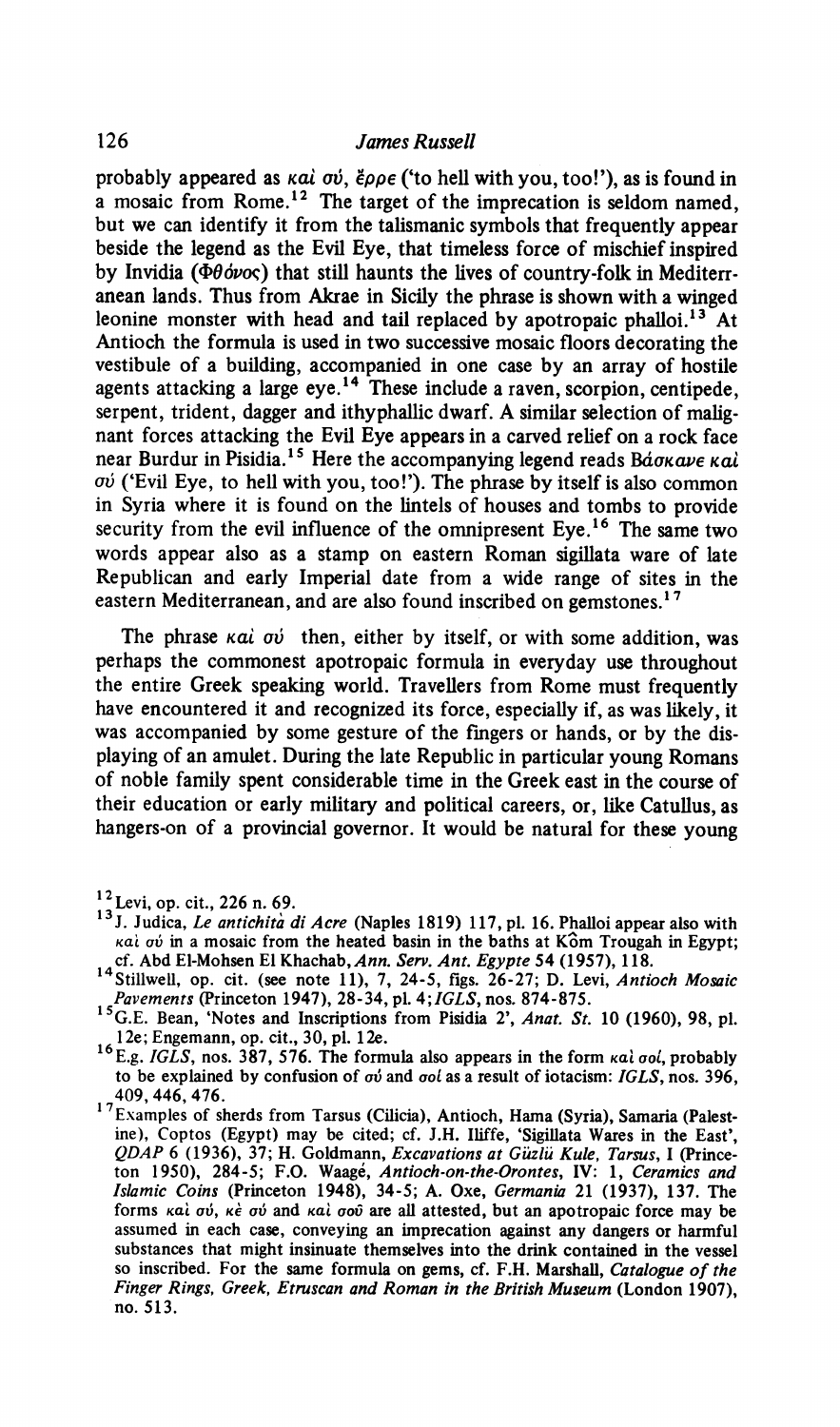probably appeared as  $kai \, \sigma \dot{\sigma}$ ,  $\dot{\epsilon} \rho \rho \epsilon$  ('to hell with you, too!'), as is found in a mosaic from Rome.<sup>12</sup> The target of the imprecation is seldom named, but we can identify it from the talismanic symbols that frequently appear beside the legend as the Evil Eye, that timeless force of mischief inspired by Invidia ( $\Phi\theta\phi\nu$ <sub>o</sub>c) that still haunts the lives of country-folk in Mediterranean lands. Thus from Akrae in Sicily the phrase is shown with a winged leonine monster with head and tail replaced by apotropaic phalloi.<sup>13</sup> At Antioch the formula is used in two successive mosaic floors decorating the vestibule of a building, accompanied in one case by an array of hostile agents attacking a large eye.<sup>14</sup> These include a raven, scorpion, centipede, serpent, trident, dagger and ithyphallic dwarf. A similar selection of malignant forces attacking the Evil Eye appears in a carved relief on a rock face near Burdur in Pisidia.<sup>15</sup> Here the accompanying legend reads Báokave kal  $\sigma\dot{\nu}$  ('Evil Eye, to hell with you, too!'). The phrase by itself is also common in Syria where it is found on the lintels of houses and tombs to provide security from the evil influence of the omnipresent Eye.<sup>16</sup> The same two words appear also as a stamp on eastern Roman sigillata ware of late Republican and early Imperial date from a wide range of sites in the eastern Mediterranean, and are also found inscribed on gemstones.<sup>17</sup>

The phrase  $kai$   $\sigma\dot{\nu}$  then, either by itself, or with some addition, was perhaps the commonest apotropaic formula in everyday use throughout the entire Greek speaking world. Travellers from Rome must frequently have encountered it and recognized its force, especially if, as was likely, it was accompanied by some gesture of the fingers or hands, or by the displaying of an amulet. During the late Republic in particular young Romans of noble family spent considerable time in the Greek east in the course of their education or early military and political careers, or, like Catullus, as hangers-on of a provincial governor. It would be natural for these young

 $12$  Levi, op. cit., 226 n. 69.

<sup>&</sup>lt;sup>13</sup> J. Judica, Le antichità di Acre (Naples 1819) 117, pl. 16. Phalloi appear also with kai ov in a mosaic from the heated basin in the baths at Kôm Trougah in Egypt; cf. Abd El-Mohsen El Khachab, Ann. Serv. Ant. Egypte 54 (1957), 118.

Stillwell, op. cit. (see note 11), 7, 24-5, figs. 26-27; D. Levi, Antioch Mosaic Pavements (Princeton 1947), 28-34, pl. 4; JGLS, nos. 874-875.

<sup>&</sup>lt;sup>1</sup>'G.E. Bean, 'Notes and Inscriptions from Pisidia 2', *Anat. St.* 10 (1960), 98, pl. 12e; Engemann, op. cit., 30, pl. 12e.

 $^{\circ}$ E.g. *IGLS*, nos. 387, 576. The formula also appears in the form  $\kappa a \cdot \sigma o \cdot$ , probably to be explained by confusion of  $\sigma\dot{\nu}$  and  $\sigma o\dot{\iota}$  as a result of iotacism: IGLS, nos. 396, 409, 446, 476.

<sup>17</sup>Examples of sherds from Tarsus (Cilicia), Antioch, Hama (Syria), Samaria (Palestine), Coptos (Egypt) may be cited; cf. J.H. Iliffe, 'Sigillata Wares in the East', QDAP 6 (1936), 37; H. Goldmann, Excavations at Güzlü Kule, Tarsus, I (Prince ton 1950), 284-5; F.O. Waagé, *Antioch-on-the-Orontes*, IV: 1, *Ceramics and* Islamic Coins (Princeton 1948), 34-5; A. Oxe, Germania 21 (1937), 137. The forms και σύ, κε σύ and και σου are all attested, but an apotropaic force may be assumed in each case, conveying an imprecation against any dangers or harmful substances that might insinuate themselves into the drink contained in the vessel so inscribed. For the same formula on gems, cf. F.H. Marshall, Catalogue of the Finger Rings, Greek, Etruscan and Roman in the British Museum (London 1907), no. 513.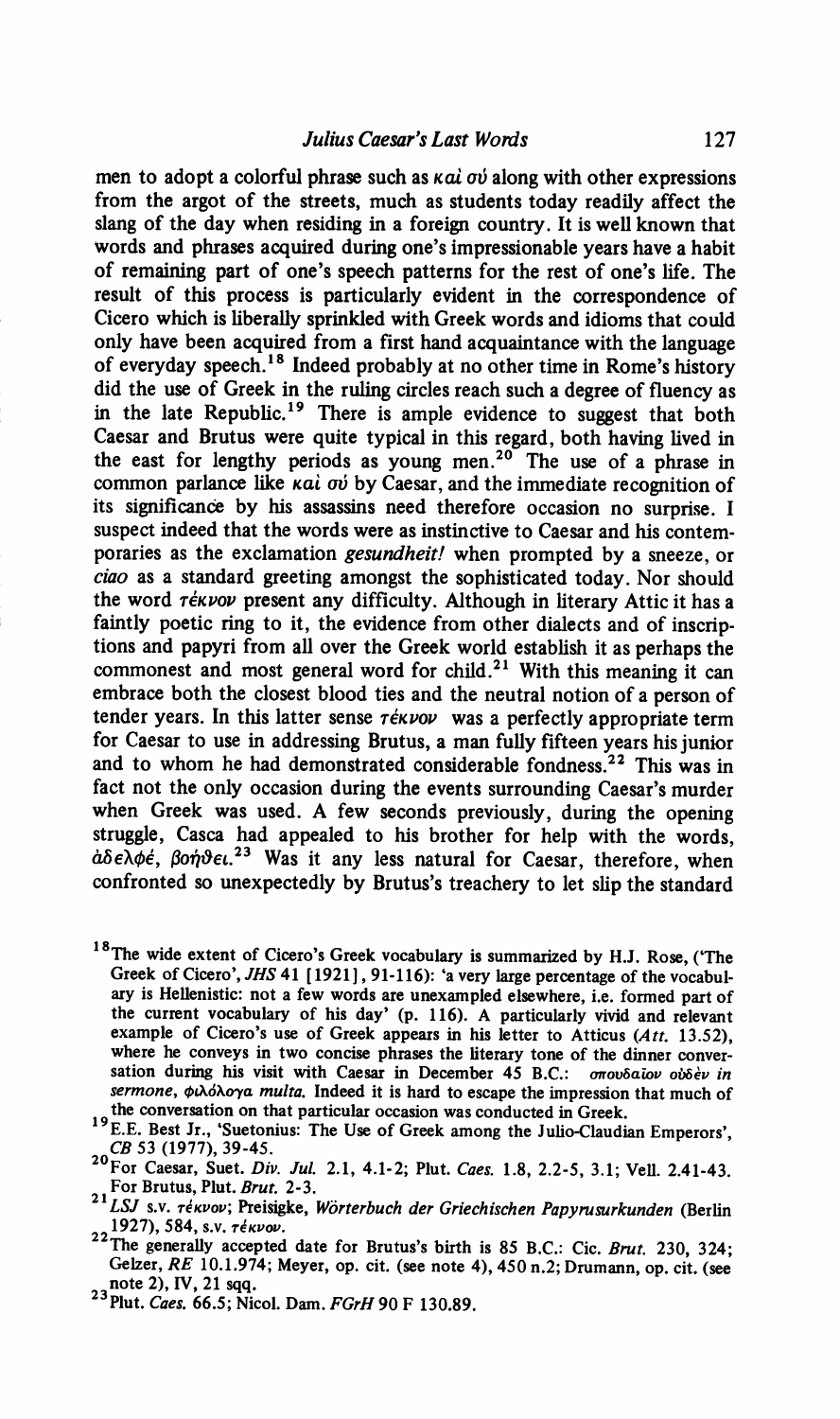men to adopt a colorful phrase such as  $k$ ai  $\sigma\dot{\nu}$  along with other expressions from the argot of the streets, much as students today readily affect the slang of the day when residing in a foreign country. It is well known that words and phrases acquired during one's impressionable years have a habit of remaining part of one's speech patterns for the rest of one's life. The result of this process is particularly evident in the correspondence of Cicero which is liberally sprinkled with Greek words and idioms that could only have been acquired from a first hand acquaintance with the language of everyday speech.'® Indeed probably at no other time in Rome's history did the use of Greek in the ruling circles reach such a degree of fluency as in the late Republic.<sup>19</sup> There is ample evidence to suggest that both Caesar and Brutus were quite typical in this regard, both having lived in the east for lengthy periods as young men.<sup>20</sup> The use of a phrase in common parlance like *kal ov* by Caesar, and the immediate recognition of its significance by his assassins need therefore occasion no surprise. I suspect indeed that the words were as instinctive to Caesar and his contemporaries as the exclamation gesundheit! when prompted by a sneeze, or ciao as a standard greeting amongst the sophisticated today. Nor should the word rékvov present any difficulty. Although in literary Attic it has a faintly poetic ring to it, the evidence from other dialects and of inscriptions and papyri from all over the Greek world establish it as perhaps the commonest and most general word for child.<sup>21</sup> With this meaning it can embrace both the closest blood ties and the neutral notion of a person of tender years. In this latter sense  $\tau \notin K$ vov was a perfectly appropriate term for Caesar to use in addressing Brutus, a man fully fifteen years his junior and to whom he had demonstrated considerable fondness.<sup>22</sup> This was in fact not the only occasion during the events surrounding Caesar's murder when Greek was used. A few seconds previously, during the opening struggle, Casca had appealed to his brother for help with the words,  $d\delta \epsilon \lambda \phi \dot{\epsilon}$ ,  $\beta \dot{\sigma} \dot{\gamma} \dot{\epsilon}$ ,  $^{23}$  Was it any less natural for Caesar, therefore, when confronted so unexpectedly by Brutus's treachery to let slip the standard

- <sup>18</sup>The wide extent of Cicero's Greek vocabulary is summarized by H.J. Rose, ('The Greek of Cicero', JHS 41 [1921], 91-116): 'a very large percentage of the vocabulary is Hellenistic: not a few words are unexampled elsewhere, i.e. formed part of the current vocabulary of his day' (p. 116). A particularly vivid and relevant example of Cicero's use of Greek appears in his letter to Atticus  $(Att. 13.52)$ , where he conveys in two concise phrases the literary tone of the dinner conversation during his visit with Caesar in December 45 B.C.: onovoalov ovoev in sermone,  $\phi\lambda\phi\lambda\phi\gamma a$  multa. Indeed it is hard to escape the impression that much of the conversation on that particular occasion was conducted in Greek.
- <sup>19</sup> E.E. Best Jr., 'Suetonius: The Use of Greek among the Julio-Claudian Emperors'. CB 53 (1977), 39-45.
- For Caesar, Suet. Div. Jul. 2.1, 4.1-2; Plut. Caes. 1.8, 2.2-5, 3.1; Vell. 2.41-43. For Brutus, Plut. Brut. 2-3.
- $21$ LSJ s.v. rékvov; Preisigke, Wörterbuch der Griechischen Papyrusurkunden (Berlin 1927), 584, s.v. réxvov.
- The generally accepted date for Brutus's birth is 85 B.C.: Cic. Brut. 230, 324; Gelzer, RE 10.1.974; Meyer, op. cit. (see note 4), 450 n.2; Drumann, op. cit. (see note 2), IV, 21 sqq.
- $23$  Plut. Caes. 66.5; Nicol. Dam. FGrH 90 F 130.89.